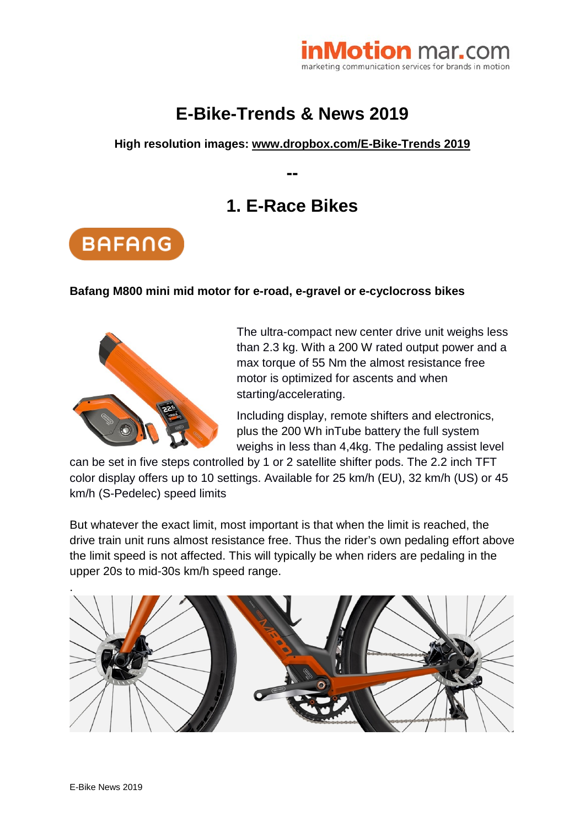

# **E-Bike-Trends & News 2019**

### **High resolution images: [www.dropbox.com/E-Bike-Trends 2019](https://www.dropbox.com/sh/gwmk8sfo150irtw/AAD-nkca8daxH0ja7fPS9HGQa?dl=0)**

**--**

# **1. E-Race Bikes**



#### **Bafang M800 mini mid motor for e-road, e-gravel or e-cyclocross bikes**



The ultra-compact new center drive unit weighs less than 2.3 kg. With a 200 W rated output power and a max torque of 55 Nm the almost resistance free motor is optimized for ascents and when starting/accelerating.

Including display, remote shifters and electronics, plus the 200 Wh inTube battery the full system weighs in less than 4,4kg. The pedaling assist level

can be set in five steps controlled by 1 or 2 satellite shifter pods. The 2.2 inch TFT color display offers up to 10 settings. Available for 25 km/h (EU), 32 km/h (US) or 45 km/h (S-Pedelec) speed limits

But whatever the exact limit, most important is that when the limit is reached, the drive train unit runs almost resistance free. Thus the rider's own pedaling effort above the limit speed is not affected. This will typically be when riders are pedaling in the upper 20s to mid-30s km/h speed range.

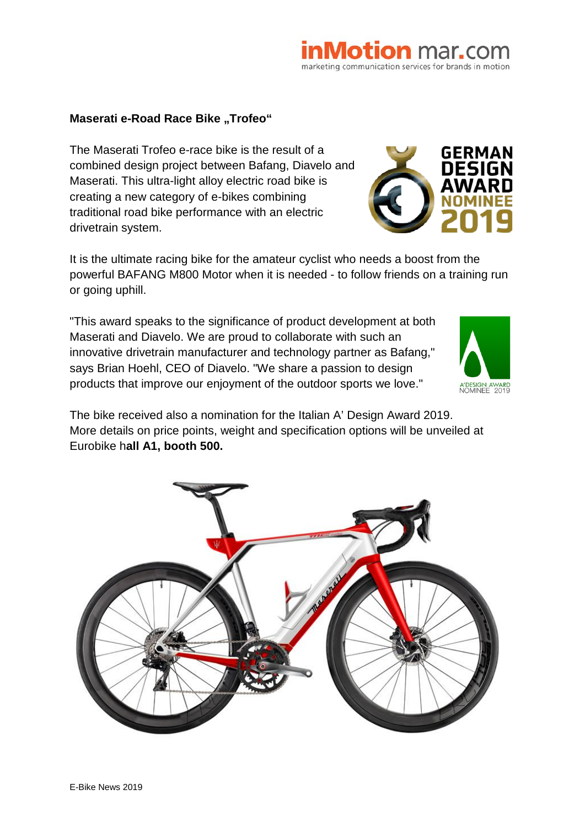#### **Maserati e-Road Race Bike "Trofeo"**

The Maserati Trofeo e-race bike is the result of a combined design project between Bafang, Diavelo and Maserati. This ultra-light alloy electric road bike is creating a new category of e-bikes combining traditional road bike performance with an electric drivetrain system.

It is the ultimate racing bike for the amateur cyclist who needs a boost from the powerful BAFANG M800 Motor when it is needed - to follow friends on a training run or going uphill.

"This award speaks to the significance of product development at both Maserati and Diavelo. We are proud to collaborate with such an innovative drivetrain manufacturer and technology partner as Bafang," says Brian Hoehl, CEO of Diavelo. "We share a passion to design products that improve our enjoyment of the outdoor sports we love."

The bike received also a nomination for the Italian A' Design Award 2019. More details on price points, weight and specification options will be unveiled at Eurobike h**all A1, booth 500.**







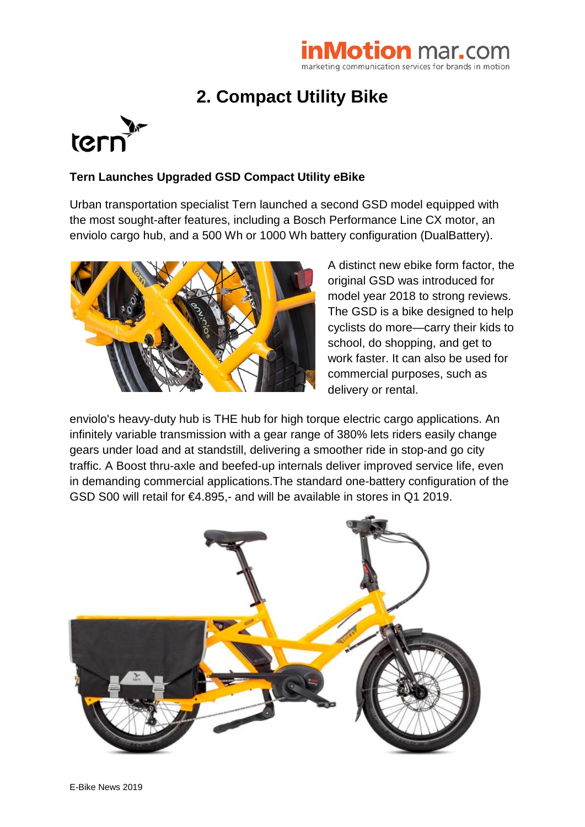# marketing communication services for brands in motion

# **2. Compact Utility Bike**



## **Tern Launches Upgraded GSD Compact Utility eBike**

Urban transportation specialist Tern launched a second GSD model equipped with the most sought-after features, including a Bosch Performance Line CX motor, an enviolo cargo hub, and a 500 Wh or 1000 Wh battery configuration (DualBattery).



A distinct new ebike form factor, the original GSD was introduced for model year 2018 to strong reviews. The GSD is a bike designed to help cyclists do more—carry their kids to school, do shopping, and get to work faster. It can also be used for commercial purposes, such as delivery or rental.

enviolo's heavy-duty hub is THE hub for high torque electric cargo applications. An infinitely variable transmission with a gear range of 380% lets riders easily change gears under load and at standstill, delivering a smoother ride in stop-and go city traffic. A Boost thru-axle and beefed-up internals deliver improved service life, even in demanding commercial applications.The standard one-battery configuration of the GSD S00 will retail for €4.895,- and will be available in stores in Q1 2019.

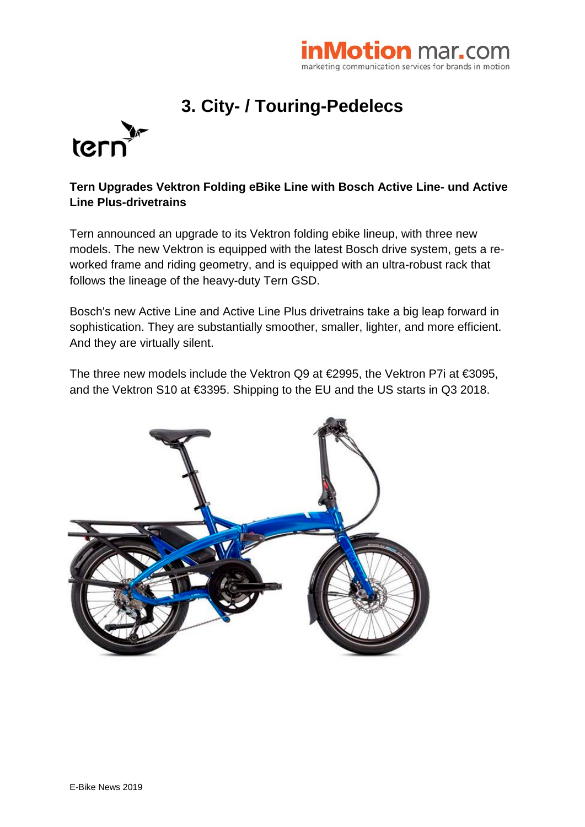

# **3. City- / Touring-Pedelecs**



### **Tern Upgrades Vektron Folding eBike Line with Bosch Active Line- und Active Line Plus-drivetrains**

Tern announced an upgrade to its Vektron folding ebike lineup, with three new models. The new Vektron is equipped with the latest Bosch drive system, gets a reworked frame and riding geometry, and is equipped with an ultra-robust rack that follows the lineage of the heavy-duty Tern GSD.

Bosch's new Active Line and Active Line Plus drivetrains take a big leap forward in sophistication. They are substantially smoother, smaller, lighter, and more efficient. And they are virtually silent.

The three new models include the Vektron Q9 at €2995, the Vektron P7i at €3095, and the Vektron S10 at €3395. Shipping to the EU and the US starts in Q3 2018.